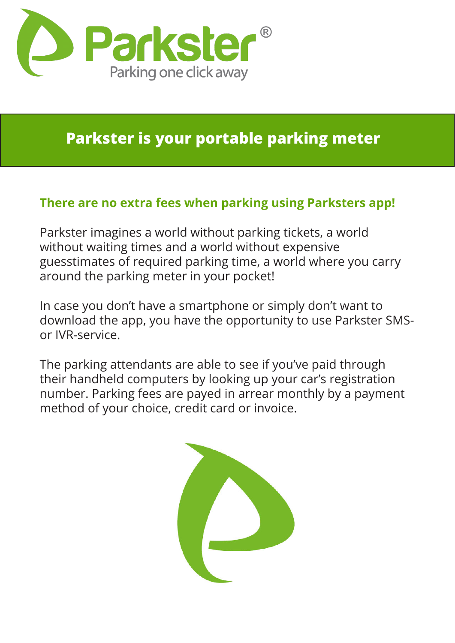

### **Parkster is your portable parking meter**

### **There are no extra fees when parking using Parksters app!**

Parkster imagines a world without parking tickets, a world without waiting times and a world without expensive guesstimates of required parking time, a world where you carry around the parking meter in your pocket!

In case you don't have a smartphone or simply don't want to download the app, you have the opportunity to use Parkster SMSor IVR-service.

The parking attendants are able to see if you've paid through their handheld computers by looking up your car's registration number. Parking fees are payed in arrear monthly by a payment method of your choice, credit card or invoice.

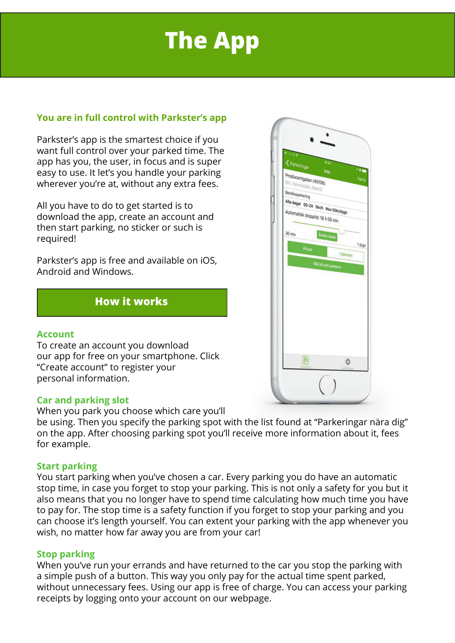# **The App**

### **You are in full control with Parkster's app**

Parkster's app is the smartest choice if you want full control over your parked time. The app has you, the user, in focus and is super easy to use. It let's you handle your parking wherever you're at, without any extra fees.

All you have to do to get started is to download the app, create an account and then start parking, no sticker or such is required!

Parkster's app is free and available on iOS, Android and Windows.

### **How it works**

### **Account**

To create an account you download our app for free on your smartphone. Click "Create account" to register your personal information.

### **Car and parking slot**

### When you park you choose which care you'll

be using. Then you specify the parking spot with the list found at "Parkeringar nära dig" on the app. After choosing parking spot you'll receive more information about it, fees for example.

### **Start parking**

You start parking when you've chosen a car. Every parking you do have an automatic stop time, in case you forget to stop your parking. This is not only a safety for you but it also means that you no longer have to spend time calculating how much time you have to pay for. The stop time is a safety function if you forget to stop your parking and you can choose it's length yourself. You can extent your parking with the app whenever you wish, no matter how far away you are from your car!

### **Stop parking**

When you've run your errands and have returned to the car you stop the parking with a simple push of a button. This way you only pay for the actual time spent parked, without unnecessary fees. Using our app is free of charge. You can access your parking receipts by logging onto your account on our webpage.

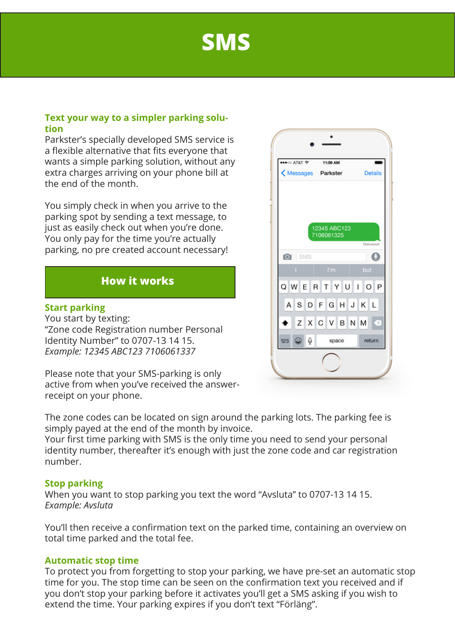## **SMS**

### **Text your way to a simpler parking solution**

Parkster's specially developed SMS service is a flexible alternative that fits everyone that wants a simple parking solution, without any extra charges arriving on your phone bill at the end of the month.

You simply check in when you arrive to the parking spot by sending a text message, to just as easily check out when you're done. You only pay for the time you're actually parking, no pre created account necessary!

### **How it works**

### **Start parking**

You start by texting: "Zone code Registration number Personal Identity Number" to 0707-13 14 15. *Example: 12345 ABC123 7106061337*

Please note that your SMS-parking is only active from when you've received the answerreceipt on your phone.

The zone codes can be located on sign around the parking lots. The parking fee is simply payed at the end of the month by invoice.

Your first time parking with SMS is the only time you need to send your personal identity number, thereafter it's enough with just the zone code and car registration number.

### **Stop parking**

When you want to stop parking you text the word "Avsluta" to 0707-13 14 15. *Example: Avsluta*

You'll then receive a confirmation text on the parked time, containing an overview on total time parked and the total fee.

### **Automatic stop time**

To protect you from forgetting to stop your parking, we have pre-set an automatic stop time for you. The stop time can be seen on the confirmation text you received and if you don't stop your parking before it activates you'll get a SMS asking if you wish to extend the time. Your parking expires if you don't text "Förläng".